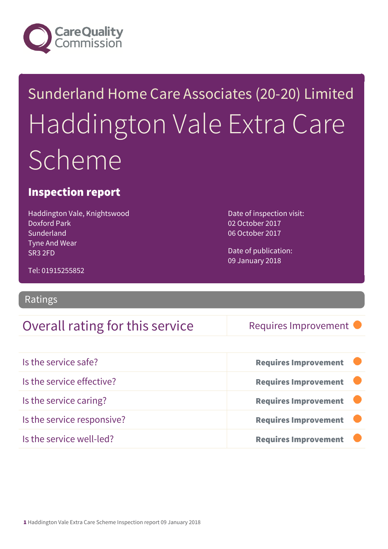

## Sunderland Home Care Associates (20-20) Limited Haddington Vale Extra Care **Scheme**

#### Inspection report

Haddington Vale, Knightswood Doxford Park Sunderland Tyne And Wear SR3 2FD

Date of inspection visit: 02 October 2017 06 October 2017

Date of publication: 09 January 2018

Tel: 01915255852

#### Ratings

#### Overall rating for this service Requires Improvement

| Is the service safe?       | <b>Requires Improvement</b> |
|----------------------------|-----------------------------|
| Is the service effective?  | <b>Requires Improvement</b> |
| Is the service caring?     | <b>Requires Improvement</b> |
| Is the service responsive? | <b>Requires Improvement</b> |
| Is the service well-led?   | <b>Requires Improvement</b> |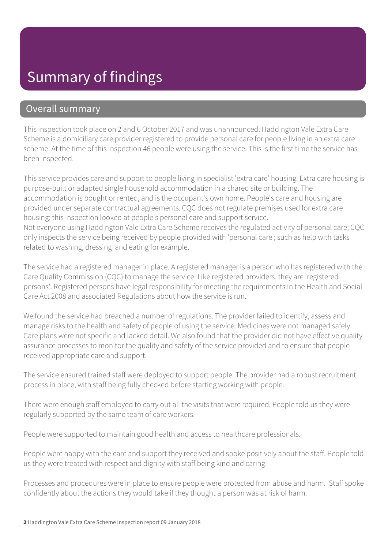### Summary of findings

#### Overall summary

This inspection took place on 2 and 6 October 2017 and was unannounced. Haddington Vale Extra Care Scheme is a domiciliary care provider registered to provide personal care for people living in an extra care scheme. At the time of this inspection 46 people were using the service. This is the first time the service has been inspected.

This service provides care and support to people living in specialist 'extra care' housing. Extra care housing is purpose-built or adapted single household accommodation in a shared site or building. The accommodation is bought or rented, and is the occupant's own home. People's care and housing are provided under separate contractual agreements. CQC does not regulate premises used for extra care housing; this inspection looked at people's personal care and support service. Not everyone using Haddington Vale Extra Care Scheme receives the regulated activity of personal care; CQC only inspects the service being received by people provided with 'personal care'; such as help with tasks related to washing, dressing and eating for example.

The service had a registered manager in place. A registered manager is a person who has registered with the Care Quality Commission (CQC) to manage the service. Like registered providers, they are 'registered persons'. Registered persons have legal responsibility for meeting the requirements in the Health and Social Care Act 2008 and associated Regulations about how the service is run.

We found the service had breached a number of regulations. The provider failed to identify, assess and manage risks to the health and safety of people of using the service. Medicines were not managed safely. Care plans were not specific and lacked detail. We also found that the provider did not have effective quality assurance processes to monitor the quality and safety of the service provided and to ensure that people received appropriate care and support.

The service ensured trained staff were deployed to support people. The provider had a robust recruitment process in place, with staff being fully checked before starting working with people.

There were enough staff employed to carry out all the visits that were required. People told us they were regularly supported by the same team of care workers.

People were supported to maintain good health and access to healthcare professionals.

People were happy with the care and support they received and spoke positively about the staff. People told us they were treated with respect and dignity with staff being kind and caring.

Processes and procedures were in place to ensure people were protected from abuse and harm. Staff spoke confidently about the actions they would take if they thought a person was at risk of harm.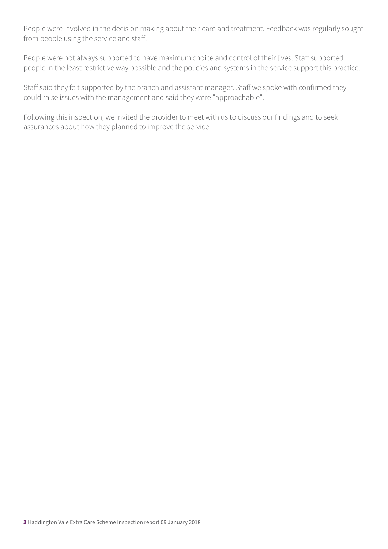People were involved in the decision making about their care and treatment. Feedback was regularly sought from people using the service and staff.

People were not always supported to have maximum choice and control of their lives. Staff supported people in the least restrictive way possible and the policies and systems in the service support this practice.

Staff said they felt supported by the branch and assistant manager. Staff we spoke with confirmed they could raise issues with the management and said they were "approachable".

Following this inspection, we invited the provider to meet with us to discuss our findings and to seek assurances about how they planned to improve the service.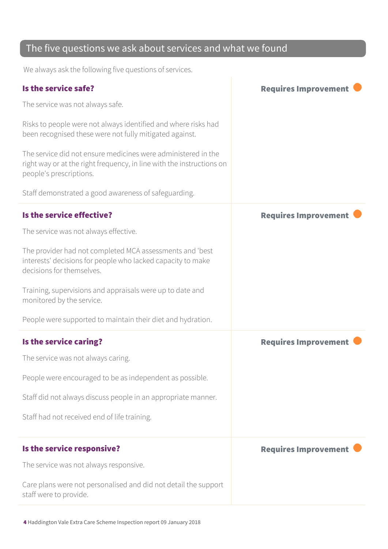#### The five questions we ask about services and what we found

We always ask the following five questions of services.

| The service was not always safe.<br>Risks to people were not always identified and where risks had<br>been recognised these were not fully mitigated against.<br>The service did not ensure medicines were administered in the<br>right way or at the right frequency, in line with the instructions on<br>people's prescriptions. |
|------------------------------------------------------------------------------------------------------------------------------------------------------------------------------------------------------------------------------------------------------------------------------------------------------------------------------------|
|                                                                                                                                                                                                                                                                                                                                    |
|                                                                                                                                                                                                                                                                                                                                    |
|                                                                                                                                                                                                                                                                                                                                    |
| Staff demonstrated a good awareness of safeguarding.                                                                                                                                                                                                                                                                               |
| Is the service effective?<br><b>Requires Improvement</b>                                                                                                                                                                                                                                                                           |
| The service was not always effective.                                                                                                                                                                                                                                                                                              |
| The provider had not completed MCA assessments and 'best<br>interests' decisions for people who lacked capacity to make<br>decisions for themselves.                                                                                                                                                                               |
| Training, supervisions and appraisals were up to date and<br>monitored by the service.                                                                                                                                                                                                                                             |
| People were supported to maintain their diet and hydration.                                                                                                                                                                                                                                                                        |
| Is the service caring?<br><b>Requires Improvement</b>                                                                                                                                                                                                                                                                              |
| The service was not always caring.                                                                                                                                                                                                                                                                                                 |
| People were encouraged to be as independent as possible.                                                                                                                                                                                                                                                                           |
| Staff did not always discuss people in an appropriate manner.                                                                                                                                                                                                                                                                      |
| Staff had not received end of life training.                                                                                                                                                                                                                                                                                       |
|                                                                                                                                                                                                                                                                                                                                    |
| Is the service responsive?<br><b>Requires Improvement</b>                                                                                                                                                                                                                                                                          |
| The service was not always responsive.                                                                                                                                                                                                                                                                                             |
| Care plans were not personalised and did not detail the support<br>staff were to provide.                                                                                                                                                                                                                                          |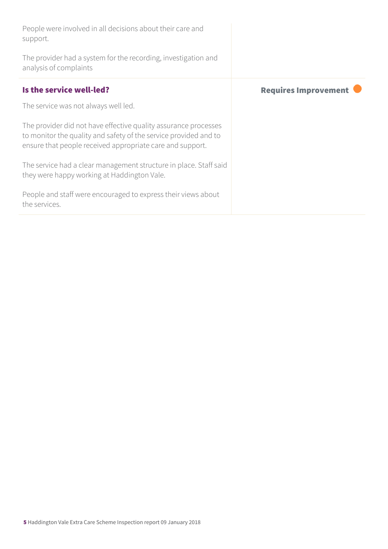| People were involved in all decisions about their care and<br>support.                                                                                                                           |                             |
|--------------------------------------------------------------------------------------------------------------------------------------------------------------------------------------------------|-----------------------------|
| The provider had a system for the recording, investigation and<br>analysis of complaints                                                                                                         |                             |
| Is the service well-led?                                                                                                                                                                         | <b>Requires Improvement</b> |
| The service was not always well led.                                                                                                                                                             |                             |
| The provider did not have effective quality assurance processes<br>to monitor the quality and safety of the service provided and to<br>ensure that people received appropriate care and support. |                             |
| The service had a clear management structure in place. Staff said<br>they were happy working at Haddington Vale.                                                                                 |                             |
| People and staff were encouraged to express their views about<br>the services.                                                                                                                   |                             |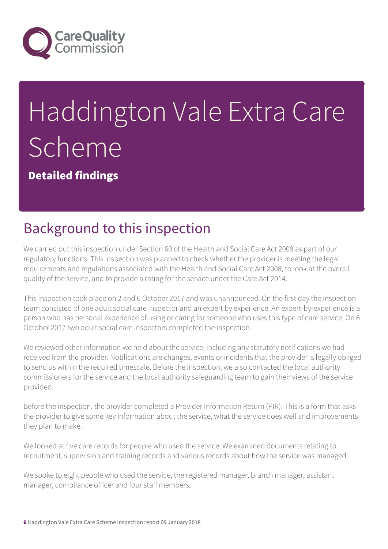

# Haddington Vale Extra Care Scheme

Detailed findings

## Background to this inspection

We carried out this inspection under Section 60 of the Health and Social Care Act 2008 as part of our regulatory functions. This inspection was planned to check whether the provider is meeting the legal requirements and regulations associated with the Health and Social Care Act 2008, to look at the overall quality of the service, and to provide a rating for the service under the Care Act 2014.

This inspection took place on 2 and 6 October 2017 and was unannounced. On the first day the inspection team consisted of one adult social care inspector and an expert by experience. An expert-by-experience is a person who has personal experience of using or caring for someone who uses this type of care service. On 6 October 2017 two adult social care inspectors completed the inspection.

We reviewed other information we held about the service, including any statutory notifications we had received from the provider. Notifications are changes, events or incidents that the provider is legally obliged to send us within the required timescale. Before the inspection, we also contacted the local authority commissioners for the service and the local authority safeguarding team to gain their views of the service provided.

Before the inspection, the provider completed a Provider Information Return (PIR). This is a form that asks the provider to give some key information about the service, what the service does well and improvements they plan to make.

We looked at five care records for people who used the service. We examined documents relating to recruitment, supervision and training records and various records about how the service was managed.

We spoke to eight people who used the service, the registered manager, branch manager, assistant manager, compliance officer and four staff members.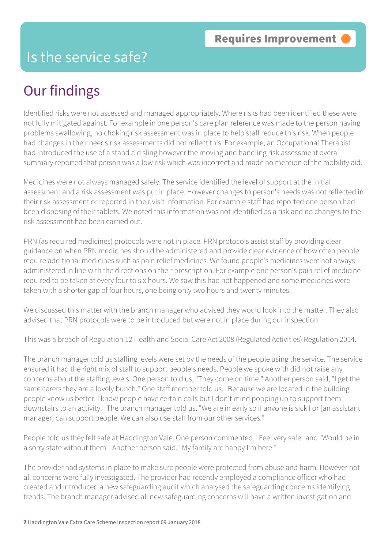#### Is the service safe?

### Our findings

Identified risks were not assessed and managed appropriately. Where risks had been identified these were not fully mitigated against. For example in one person's care plan reference was made to the person having problems swallowing, no choking risk assessment was in place to help staff reduce this risk. When people had changes in their needs risk assessments did not reflect this. For example, an Occupational Therapist had introduced the use of a stand aid sling however the moving and handling risk assessment overall summary reported that person was a low risk which was incorrect and made no mention of the mobility aid.

Medicines were not always managed safely. The service identified the level of support at the initial assessment and a risk assessment was put in place. However changes to person's needs was not reflected in their risk assessment or reported in their visit information. For example staff had reported one person had been disposing of their tablets. We noted this information was not identified as a risk and no changes to the risk assessment had been carried out.

PRN (as required medicines) protocols were not in place. PRN protocols assist staff by providing clear guidance on when PRN medicines should be administered and provide clear evidence of how often people require additional medicines such as pain relief medicines. We found people's medicines were not always administered in line with the directions on their prescription. For example one person's pain relief medicine required to be taken at every four to six hours. We saw this had not happened and some medicines were taken with a shorter gap of four hours, one being only two hours and twenty minutes.

We discussed this matter with the branch manager who advised they would look into the matter. They also advised that PRN protocols were to be introduced but were not in place during our inspection.

This was a breach of Regulation 12 Health and Social Care Act 2008 (Regulated Activities) Regulation 2014.

The branch manager told us staffing levels were set by the needs of the people using the service. The service ensured it had the right mix of staff to support people's needs. People we spoke with did not raise any concerns about the staffing levels. One person told us, "They come on time." Another person said, "I get the same carers they are a lovely bunch." One staff member told us, "Because we are located in the building people know us better. I know people have certain calls but I don't mind popping up to support them downstairs to an activity." The branch manager told us, "We are in early so if anyone is sick I or [an assistant manager] can support people. We can also use staff from our other services."

People told us they felt safe at Haddington Vale. One person commented, "Feel very safe" and "Would be in a sorry state without them". Another person said, "My family are happy I'm here."

The provider had systems in place to make sure people were protected from abuse and harm. However not all concerns were fully investigated. The provider had recently employed a compliance officer who had created and introduced a new safeguarding audit which analysed the safeguarding concerns identifying trends. The branch manager advised all new safeguarding concerns will have a written investigation and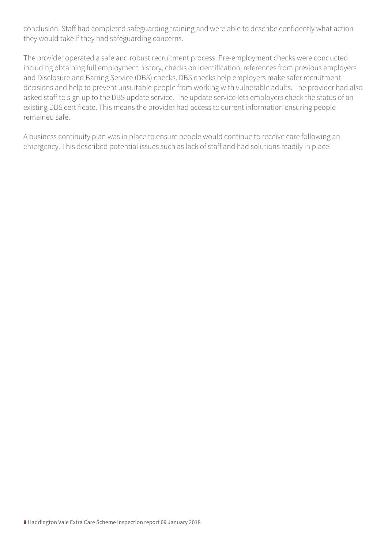conclusion. Staff had completed safeguarding training and were able to describe confidently what action they would take if they had safeguarding concerns.

The provider operated a safe and robust recruitment process. Pre-employment checks were conducted including obtaining full employment history, checks on identification, references from previous employers and Disclosure and Barring Service (DBS) checks. DBS checks help employers make safer recruitment decisions and help to prevent unsuitable people from working with vulnerable adults. The provider had also asked staff to sign up to the DBS update service. The update service lets employers check the status of an existing DBS certificate. This means the provider had access to current information ensuring people remained safe.

A business continuity plan was in place to ensure people would continue to receive care following an emergency. This described potential issues such as lack of staff and had solutions readily in place.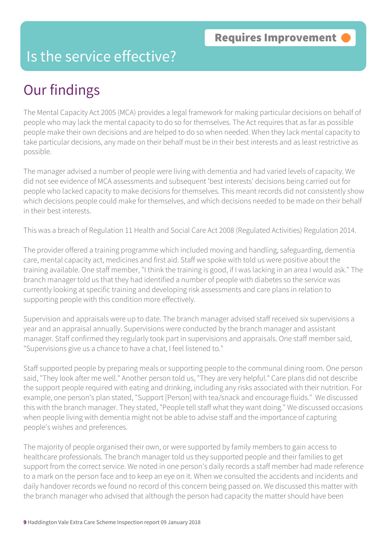#### Is the service effective?

## Our findings

The Mental Capacity Act 2005 (MCA) provides a legal framework for making particular decisions on behalf of people who may lack the mental capacity to do so for themselves. The Act requires that as far as possible people make their own decisions and are helped to do so when needed. When they lack mental capacity to take particular decisions, any made on their behalf must be in their best interests and as least restrictive as possible.

The manager advised a number of people were living with dementia and had varied levels of capacity. We did not see evidence of MCA assessments and subsequent 'best interests' decisions being carried out for people who lacked capacity to make decisions for themselves. This meant records did not consistently show which decisions people could make for themselves, and which decisions needed to be made on their behalf in their best interests.

This was a breach of Regulation 11 Health and Social Care Act 2008 (Regulated Activities) Regulation 2014.

The provider offered a training programme which included moving and handling, safeguarding, dementia care, mental capacity act, medicines and first aid. Staff we spoke with told us were positive about the training available. One staff member, "I think the training is good, if I was lacking in an area I would ask." The branch manager told us that they had identified a number of people with diabetes so the service was currently looking at specific training and developing risk assessments and care plans in relation to supporting people with this condition more effectively.

Supervision and appraisals were up to date. The branch manager advised staff received six supervisions a year and an appraisal annually. Supervisions were conducted by the branch manager and assistant manager. Staff confirmed they regularly took part in supervisions and appraisals. One staff member said, "Supervisions give us a chance to have a chat, I feel listened to."

Staff supported people by preparing meals or supporting people to the communal dining room. One person said, "They look after me well." Another person told us, "They are very helpful." Care plans did not describe the support people required with eating and drinking, including any risks associated with their nutrition. For example, one person's plan stated, "Support [Person] with tea/snack and encourage fluids." We discussed this with the branch manager. They stated, "People tell staff what they want doing." We discussed occasions when people living with dementia might not be able to advise staff and the importance of capturing people's wishes and preferences.

The majority of people organised their own, or were supported by family members to gain access to healthcare professionals. The branch manager told us they supported people and their families to get support from the correct service. We noted in one person's daily records a staff member had made reference to a mark on the person face and to keep an eye on it. When we consulted the accidents and incidents and daily handover records we found no record of this concern being passed on. We discussed this matter with the branch manager who advised that although the person had capacity the matter should have been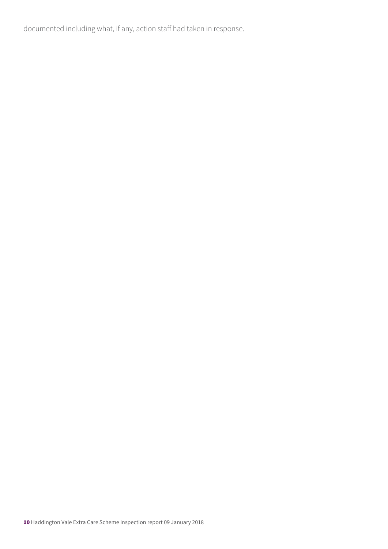documented including what, if any, action staff had taken in response.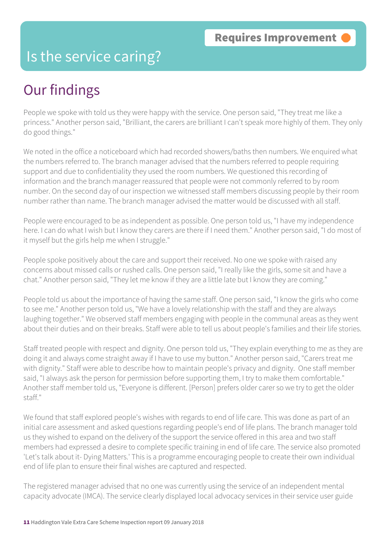#### Is the service caring?

## Our findings

People we spoke with told us they were happy with the service. One person said, "They treat me like a princess." Another person said, "Brilliant, the carers are brilliant I can't speak more highly of them. They only do good things."

We noted in the office a noticeboard which had recorded showers/baths then numbers. We enquired what the numbers referred to. The branch manager advised that the numbers referred to people requiring support and due to confidentiality they used the room numbers. We questioned this recording of information and the branch manager reassured that people were not commonly referred to by room number. On the second day of our inspection we witnessed staff members discussing people by their room number rather than name. The branch manager advised the matter would be discussed with all staff.

People were encouraged to be as independent as possible. One person told us, "I have my independence here. I can do what I wish but I know they carers are there if I need them." Another person said, "I do most of it myself but the girls help me when I struggle."

People spoke positively about the care and support their received. No one we spoke with raised any concerns about missed calls or rushed calls. One person said, "I really like the girls, some sit and have a chat." Another person said, "They let me know if they are a little late but I know they are coming."

People told us about the importance of having the same staff. One person said, "I know the girls who come to see me." Another person told us, "We have a lovely relationship with the staff and they are always laughing together." We observed staff members engaging with people in the communal areas as they went about their duties and on their breaks. Staff were able to tell us about people's families and their life stories.

Staff treated people with respect and dignity. One person told us, "They explain everything to me as they are doing it and always come straight away if I have to use my button." Another person said, "Carers treat me with dignity." Staff were able to describe how to maintain people's privacy and dignity. One staff member said, "I always ask the person for permission before supporting them, I try to make them comfortable." Another staff member told us, "Everyone is different. [Person] prefers older carer so we try to get the older staff."

We found that staff explored people's wishes with regards to end of life care. This was done as part of an initial care assessment and asked questions regarding people's end of life plans. The branch manager told us they wished to expand on the delivery of the support the service offered in this area and two staff members had expressed a desire to complete specific training in end of life care. The service also promoted 'Let's talk about it- Dying Matters.' This is a programme encouraging people to create their own individual end of life plan to ensure their final wishes are captured and respected.

The registered manager advised that no one was currently using the service of an independent mental capacity advocate (IMCA). The service clearly displayed local advocacy services in their service user guide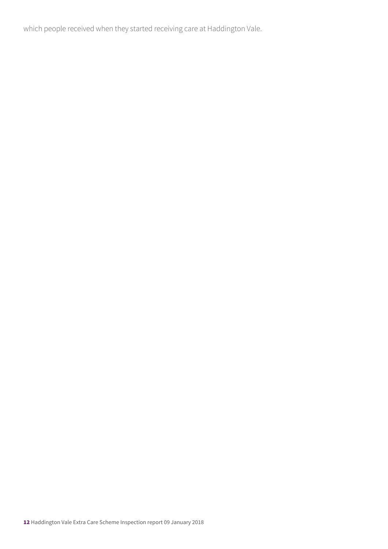which people received when they started receiving care at Haddington Vale.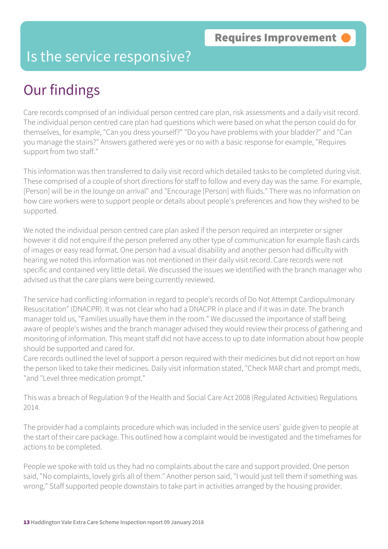#### Is the service responsive?

## Our findings

Care records comprised of an individual person centred care plan, risk assessments and a daily visit record. The individual person centred care plan had questions which were based on what the person could do for themselves, for example, "Can you dress yourself?" "Do you have problems with your bladder?" and "Can you manage the stairs?" Answers gathered were yes or no with a basic response for example, "Requires support from two staff."

This information was then transferred to daily visit record which detailed tasks to be completed during visit. These comprised of a couple of short directions for staff to follow and every day was the same. For example, [Person] will be in the lounge on arrival" and "Encourage [Person] with fluids." There was no information on how care workers were to support people or details about people's preferences and how they wished to be supported.

We noted the individual person centred care plan asked if the person required an interpreter or signer however it did not enquire if the person preferred any other type of communication for example flash cards of images or easy read format. One person had a visual disability and another person had difficulty with hearing we noted this information was not mentioned in their daily visit record. Care records were not specific and contained very little detail. We discussed the issues we identified with the branch manager who advised us that the care plans were being currently reviewed.

The service had conflicting information in regard to people's records of Do Not Attempt Cardiopulmonary Resuscitation" (DNACPR). It was not clear who had a DNACPR in place and if it was in date. The branch manager told us, "Families usually have them in the room." We discussed the importance of staff being aware of people's wishes and the branch manager advised they would review their process of gathering and monitoring of information. This meant staff did not have access to up to date information about how people should be supported and cared for.

Care records outlined the level of support a person required with their medicines but did not report on how the person liked to take their medicines. Daily visit information stated, "Check MAR chart and prompt meds, "and "Level three medication prompt."

This was a breach of Regulation 9 of the Health and Social Care Act 2008 (Regulated Activities) Regulations 2014.

The provider had a complaints procedure which was included in the service users' guide given to people at the start of their care package. This outlined how a complaint would be investigated and the timeframes for actions to be completed.

People we spoke with told us they had no complaints about the care and support provided. One person said, "No complaints, lovely girls all of them." Another person said, "I would just tell them if something was wrong." Staff supported people downstairs to take part in activities arranged by the housing provider.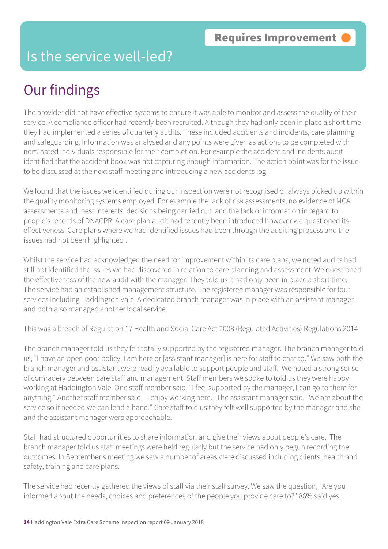#### Is the service well-led?

## Our findings

The provider did not have effective systems to ensure it was able to monitor and assess the quality of their service. A compliance officer had recently been recruited. Although they had only been in place a short time they had implemented a series of quarterly audits. These included accidents and incidents, care planning and safeguarding. Information was analysed and any points were given as actions to be completed with nominated individuals responsible for their completion. For example the accident and incidents audit identified that the accident book was not capturing enough information. The action point was for the issue to be discussed at the next staff meeting and introducing a new accidents log.

We found that the issues we identified during our inspection were not recognised or always picked up within the quality monitoring systems employed. For example the lack of risk assessments, no evidence of MCA assessments and 'best interests' decisions being carried out and the lack of information in regard to people's records of DNACPR. A care plan audit had recently been introduced however we questioned its effectiveness. Care plans where we had identified issues had been through the auditing process and the issues had not been highlighted .

Whilst the service had acknowledged the need for improvement within its care plans, we noted audits had still not identified the issues we had discovered in relation to care planning and assessment. We questioned the effectiveness of the new audit with the manager. They told us it had only been in place a short time. The service had an established management structure. The registered manager was responsible for four services including Haddington Vale. A dedicated branch manager was in place with an assistant manager and both also managed another local service.

This was a breach of Regulation 17 Health and Social Care Act 2008 (Regulated Activities) Regulations 2014

The branch manager told us they felt totally supported by the registered manager. The branch manager told us, "I have an open door policy, I am here or [assistant manager] is here for staff to chat to." We saw both the branch manager and assistant were readily available to support people and staff. We noted a strong sense of comradery between care staff and management. Staff members we spoke to told us they were happy working at Haddington Vale. One staff member said, "I feel supported by the manager, I can go to them for anything." Another staff member said, "I enjoy working here." The assistant manager said, "We are about the service so if needed we can lend a hand." Care staff told us they felt well supported by the manager and she and the assistant manager were approachable.

Staff had structured opportunities to share information and give their views about people's care. The branch manager told us staff meetings were held regularly but the service had only begun recording the outcomes. In September's meeting we saw a number of areas were discussed including clients, health and safety, training and care plans.

The service had recently gathered the views of staff via their staff survey. We saw the question, "Are you informed about the needs, choices and preferences of the people you provide care to?" 86% said yes.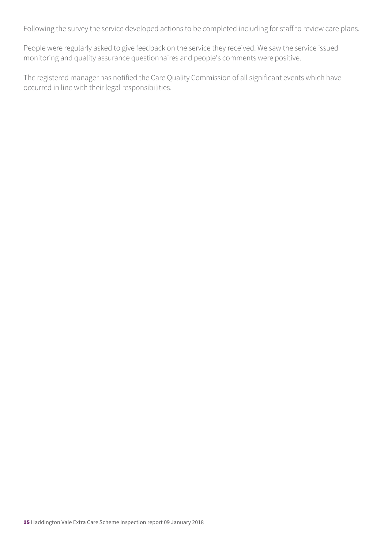Following the survey the service developed actions to be completed including for staff to review care plans.

People were regularly asked to give feedback on the service they received. We saw the service issued monitoring and quality assurance questionnaires and people's comments were positive.

The registered manager has notified the Care Quality Commission of all significant events which have occurred in line with their legal responsibilities.